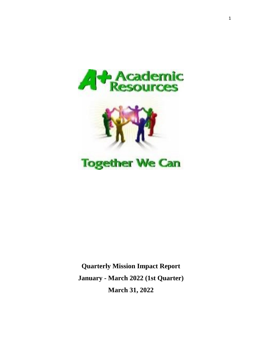



# **Together We Can**

**Quarterly Mission Impact Report January - March 2022 (1st Quarter) March 31, 2022**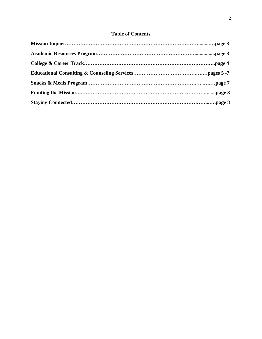## **Table of Contents**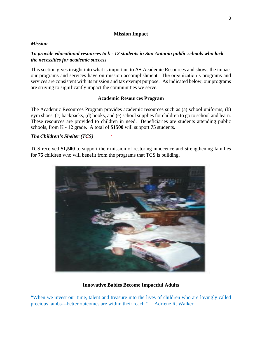#### **Mission Impact**

#### *Mission*

### *To provide educational resources to k* **-** *12 students in San Antonio public schools who lack the necessities for academic success*

This section gives insight into what is important to A+ Academic Resources and shows the impact our programs and services have on mission accomplishment. The organization's programs and services are consistent with its mission and tax exempt purpose. As indicated below, our programs are striving to significantly impact the communities we serve.

#### **Academic Resources Program**

The Academic Resources Program provides academic resources such as (a) school uniforms, (b) gym shoes, (c) backpacks, (d) books, and (e) school supplies for children to go to school and learn. These resources are provided to children in need. Beneficiaries are students attending public schools, from K - 12 grade. A total of **\$1500** will support **75** students.

#### *The Children's Shelter (TCS)*

TCS received **\$1,500** to support their mission of restoring innocence and strengthening families for **75** children who will benefit from the programs that TCS is building.



#### **Innovative Babies Become Impactful Adults**

"When we invest our time, talent and treasure into the lives of children who are lovingly called precious lambs---better outcomes are within their reach." – Adriene R. Walker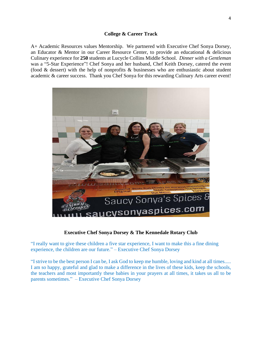#### **College & Career Track**

A+ Academic Resources values Mentorship. We partnered with Executive Chef Sonya Dorsey, an Educator & Mentor in our Career Resource Center, to provide an educational & delicious Culinary experience for **250** students at Lucycle Collins Middle School. *Dinner with a Gentleman* was a "5-Star Experience"! Chef Sonya and her husband, Chef Keith Dorsey, catered the event (food & dessert) with the help of nonprofits & businesses who are enthusiastic about student academic & career success. Thank you Chef Sonya for this rewarding Culinary Arts career event!



#### **Executive Chef Sonya Dorsey & The [Kennedale](https://www.facebook.com/groups/202310319825500/?__cft__%5b0%5d=AZV0eUBSlzNSspuzwJPlr1vhhDlsWJBNxKZN0W9PFs-ZLjaL3mlYiORnephTzxrz1xNn8DDWvBMiL63rHJrKvpi6aPHVmSJzS30XYyNUaAeV9XYVLCw3sY6EyUIZf-bzxQilLaJLaIijj9BzGTw6JAKu8BVJJMUx9BOIIrOFbO3-yw&__tn__=-UK-R) Rotary Club**

"I really want to give these children a five star experience, I want to make this a fine dining experience, the children are our future." – Executive Chef Sonya Dorsey

"I strive to be the best person I can be, I ask God to keep me humble, loving and kind at all times..... I am so happy, grateful and glad to make a difference in the lives of these kids, keep the schools, the teachers and most importantly these babies in your prayers at all times, it takes us all to be parents sometimes." – Executive Chef Sonya Dorsey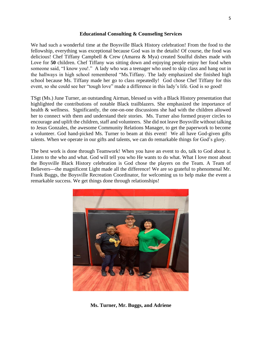#### **Educational Consulting & Counseling Services**

We had such a wonderful time at the Boysville Black History celebration! From the food to the fellowship, everything was exceptional because God was in the details! Of course, the food was delicious! Chef Tiffany Campbell & Crew (Amarea & Mya) created Soulful dishes made with Love for **50** children. Chef Tiffany was sitting down and enjoying people enjoy her food when someone said, "I know you!." A lady who was a teenager who used to skip class and hang out in the hallways in high school remembered "Ms.Tiffany. The lady emphasized she finished high school because Ms. Tiffany made her go to class repeatedly! God chose Chef Tiffany for this event, so she could see her "tough love" made a difference in this lady's life. God is so good!

TSgt (Ms.) June Turner, an outstanding Airman, blessed us with a Black History presentation that highlighted the contributions of notable Black trailblazers. She emphasized the importance of health & wellness. Significantly, the one-on-one discussions she had with the children allowed her to connect with them and understand their stories. Ms. Turner also formed prayer circles to encourage and uplift the children, staff and volunteers. She did not leave Boysville without talking to Jesus Gonzales, the awesome Community Relations Manager, to get the paperwork to become a volunteer. God hand-picked Ms. Turner to beam at this event! We all have God-given gifts talents. When we operate in our gifts and talents, we can do remarkable things for God's glory.

The best work is done through Teamwork! When you have an event to do, talk to God about it. Listen to the who and what. God will tell you who He wants to do what. What I love most about the Boysville Black History celebration is God chose the players on the Team. A Team of Believers---the magnificent Light made all the difference! We are so grateful to phenomenal Mr. Frank Buggs, the Boysville Recreation Coordinator, for welcoming us to help make the event a remarkable success. We get things done through relationships!



**Ms. Turner, Mr. Buggs, and Adriene**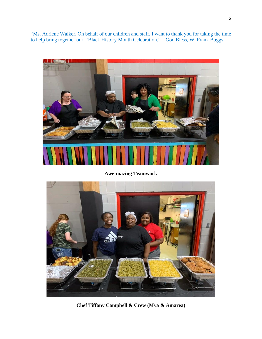"Ms. Adriene Walker, On behalf of our children and staff, I want to thank you for taking the time to help bring together our, "Black History Month Celebration." – God Bless, W. Frank Buggs



**Awe-mazing Teamwork**



**Chef Tiffany Campbell & Crew (Mya & Amarea)**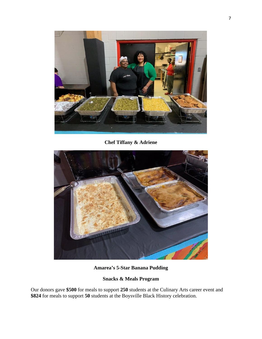

**Chef Tiffany & Adriene**



**Amarea's 5-Star Banana Pudding**

# **Snacks & Meals Program**

Our donors gave **\$500** for meals to support **250** students at the Culinary Arts career event and **\$824** for meals to support **50** students at the Boysville Black History celebration.